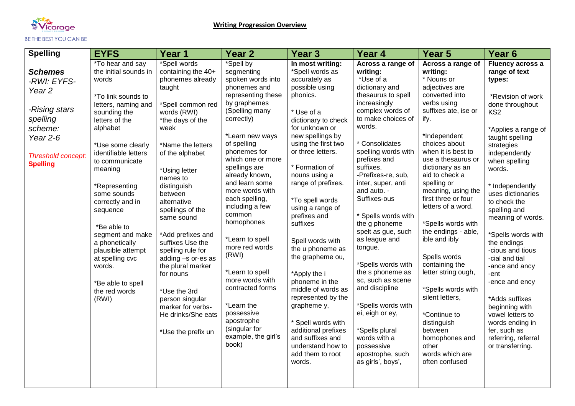

| <b>Spelling</b>                                                                                                                                   | <b>EYFS</b>                                                                                                                                                                                                                                                                                                                                                                                                                                   | Year 1                                                                                                                                                                                                                                                                                                                                                                                                                                                                                                     | <b>Year 2</b>                                                                                                                                                                                                                                                                                                                                                                                                                                                                                                                                     | Year <sub>3</sub>                                                                                                                                                                                                                                                                                                                                                                                                                                                                                                                                                                                                  | Year 4                                                                                                                                                                                                                                                                                                                                                                                                                                                                                                                                                                                                               | Year <sub>5</sub>                                                                                                                                                                                                                                                                                                                                                                                                                                                                                                                                                                                             | Year 6                                                                                                                                                                                                                                                                                                                                                                                                                                                                                                                                                               |
|---------------------------------------------------------------------------------------------------------------------------------------------------|-----------------------------------------------------------------------------------------------------------------------------------------------------------------------------------------------------------------------------------------------------------------------------------------------------------------------------------------------------------------------------------------------------------------------------------------------|------------------------------------------------------------------------------------------------------------------------------------------------------------------------------------------------------------------------------------------------------------------------------------------------------------------------------------------------------------------------------------------------------------------------------------------------------------------------------------------------------------|---------------------------------------------------------------------------------------------------------------------------------------------------------------------------------------------------------------------------------------------------------------------------------------------------------------------------------------------------------------------------------------------------------------------------------------------------------------------------------------------------------------------------------------------------|--------------------------------------------------------------------------------------------------------------------------------------------------------------------------------------------------------------------------------------------------------------------------------------------------------------------------------------------------------------------------------------------------------------------------------------------------------------------------------------------------------------------------------------------------------------------------------------------------------------------|----------------------------------------------------------------------------------------------------------------------------------------------------------------------------------------------------------------------------------------------------------------------------------------------------------------------------------------------------------------------------------------------------------------------------------------------------------------------------------------------------------------------------------------------------------------------------------------------------------------------|---------------------------------------------------------------------------------------------------------------------------------------------------------------------------------------------------------------------------------------------------------------------------------------------------------------------------------------------------------------------------------------------------------------------------------------------------------------------------------------------------------------------------------------------------------------------------------------------------------------|----------------------------------------------------------------------------------------------------------------------------------------------------------------------------------------------------------------------------------------------------------------------------------------------------------------------------------------------------------------------------------------------------------------------------------------------------------------------------------------------------------------------------------------------------------------------|
| <b>Schemes</b><br>-RWI: EYFS-<br>Year <sub>2</sub><br>-Rising stars<br>spelling<br>scheme:<br>Year $2-6$<br>Threshold concept:<br><b>Spelling</b> | *To hear and say<br>the initial sounds in<br>words<br>*To link sounds to<br>letters, naming and<br>sounding the<br>letters of the<br>alphabet<br>*Use some clearly<br>identifiable letters<br>to communicate<br>meaning<br>*Representing<br>some sounds<br>correctly and in<br>sequence<br>*Be able to<br>segment and make<br>a phonetically<br>plausible attempt<br>at spelling cvc<br>words.<br>*Be able to spell<br>the red words<br>(RWI) | *Spell words<br>containing the 40+<br>phonemes already<br>taught<br>*Spell common red<br>words (RWI)<br>*the days of the<br>week<br>*Name the letters<br>of the alphabet<br>*Using letter<br>names to<br>distinguish<br>between<br>alternative<br>spellings of the<br>same sound<br>*Add prefixes and<br>suffixes Use the<br>spelling rule for<br>adding -s or-es as<br>the plural marker<br>for nouns<br>*Use the 3rd<br>person singular<br>marker for verbs-<br>He drinks/She eats<br>*Use the prefix un | *Spell by<br>segmenting<br>spoken words into<br>phonemes and<br>representing these<br>by graphemes<br>(Spelling many<br>correctly)<br>*Learn new ways<br>of spelling<br>phonemes for<br>which one or more<br>spellings are<br>already known,<br>and learn some<br>more words with<br>each spelling,<br>including a few<br>common<br>homophones<br>*Learn to spell<br>more red words<br>(RWI)<br>*Learn to spell<br>more words with<br>contracted forms<br>*Learn the<br>possessive<br>apostrophe<br>(singular for<br>example, the girl's<br>book) | In most writing:<br>*Spell words as<br>accurately as<br>possible using<br>phonics.<br>* Use of a<br>dictionary to check<br>for unknown or<br>new spellings by<br>using the first two<br>or three letters.<br>* Formation of<br>nouns using a<br>range of prefixes.<br>*To spell words<br>using a range of<br>prefixes and<br>suffixes<br>Spell words with<br>the u phoneme as<br>the grapheme ou,<br>*Apply the i<br>phoneme in the<br>middle of words as<br>represented by the<br>grapheme y,<br>* Spell words with<br>additional prefixes<br>and suffixes and<br>understand how to<br>add them to root<br>words. | Across a range of<br>writing:<br>*Use of a<br>dictionary and<br>thesaurus to spell<br>increasingly<br>complex words of<br>to make choices of<br>words.<br>* Consolidates<br>spelling words with<br>prefixes and<br>suffixes.<br>-Prefixes-re, sub,<br>inter, super, anti<br>and auto. -<br>Suffixes-ous<br>* Spells words with<br>the g phoneme<br>spelt as gue, such<br>as league and<br>tongue.<br>*Spells words with<br>the s phoneme as<br>sc, such as scene<br>and discipline<br>*Spells words with<br>ei, eigh or ey,<br>*Spells plural<br>words with a<br>possessive<br>apostrophe, such<br>as girls', boys', | Across a range of<br>writing:<br>* Nouns or<br>adjectives are<br>converted into<br>verbs using<br>suffixes ate, ise or<br>ify.<br>*Independent<br>choices about<br>when it is best to<br>use a thesaurus or<br>dictionary as an<br>aid to check a<br>spelling or<br>meaning, using the<br>first three or four<br>letters of a word.<br>*Spells words with<br>the endings - able,<br>ible and ibly<br>Spells words<br>containing the<br>letter string ough,<br>*Spells words with<br>silent letters,<br>*Continue to<br>distinguish<br>between<br>homophones and<br>other<br>words which are<br>often confused | Fluency across a<br>range of text<br>types:<br>*Revision of work<br>done throughout<br>KS <sub>2</sub><br>*Applies a range of<br>taught spelling<br>strategies<br>independently<br>when spelling<br>words.<br>* Independently<br>uses dictionaries<br>to check the<br>spelling and<br>meaning of words.<br>*Spells words with<br>the endings<br>-cious and tious<br>-cial and tial<br>-ance and ancy<br>-ent<br>-ence and ency<br>*Adds suffixes<br>beginning with<br>vowel letters to<br>words ending in<br>fer, such as<br>referring, referral<br>or transferring. |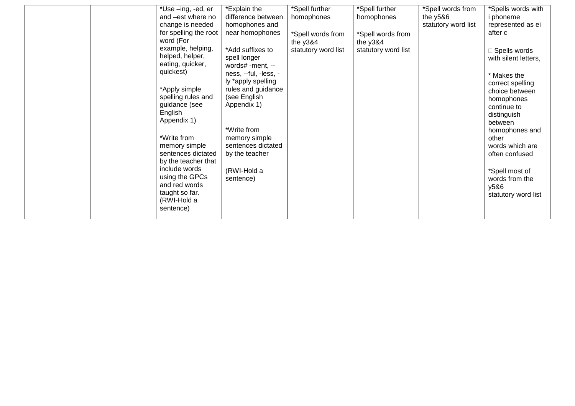|  | *Use -ing, -ed, er<br>and -est where no<br>change is needed<br>for spelling the root<br>word (For<br>example, helping,<br>helped, helper,<br>eating, quicker,<br>quickest)<br>*Apply simple<br>spelling rules and<br>guidance (see<br>English<br>Appendix 1)<br>*Write from<br>memory simple<br>sentences dictated<br>by the teacher that<br>include words<br>using the GPCs<br>and red words<br>taught so far.<br>(RWI-Hold a<br>sentence) | *Explain the<br>difference between<br>homophones and<br>near homophones<br>*Add suffixes to<br>spell longer<br>words# -ment, --<br>ness, --ful, -less, -<br>ly *apply spelling<br>rules and guidance<br>(see English<br>Appendix 1)<br>*Write from<br>memory simple<br>sentences dictated<br>by the teacher<br>(RWI-Hold a<br>sentence) | *Spell further<br>homophones<br>*Spell words from<br>the $y384$<br>statutory word list | *Spell further<br>homophones<br>*Spell words from<br>the y3&4<br>statutory word list | *Spell words from<br>the $y586$<br>statutory word list | *Spells words with<br>phoneme<br>represented as ei<br>after c<br>Spells words<br>with silent letters,<br>* Makes the<br>correct spelling<br>choice between<br>homophones<br>continue to<br>distinguish<br>between<br>homophones and<br>other<br>words which are<br>often confused<br>*Spell most of<br>words from the<br>y5&6<br>statutory word list |
|--|---------------------------------------------------------------------------------------------------------------------------------------------------------------------------------------------------------------------------------------------------------------------------------------------------------------------------------------------------------------------------------------------------------------------------------------------|-----------------------------------------------------------------------------------------------------------------------------------------------------------------------------------------------------------------------------------------------------------------------------------------------------------------------------------------|----------------------------------------------------------------------------------------|--------------------------------------------------------------------------------------|--------------------------------------------------------|------------------------------------------------------------------------------------------------------------------------------------------------------------------------------------------------------------------------------------------------------------------------------------------------------------------------------------------------------|
|--|---------------------------------------------------------------------------------------------------------------------------------------------------------------------------------------------------------------------------------------------------------------------------------------------------------------------------------------------------------------------------------------------------------------------------------------------|-----------------------------------------------------------------------------------------------------------------------------------------------------------------------------------------------------------------------------------------------------------------------------------------------------------------------------------------|----------------------------------------------------------------------------------------|--------------------------------------------------------------------------------------|--------------------------------------------------------|------------------------------------------------------------------------------------------------------------------------------------------------------------------------------------------------------------------------------------------------------------------------------------------------------------------------------------------------------|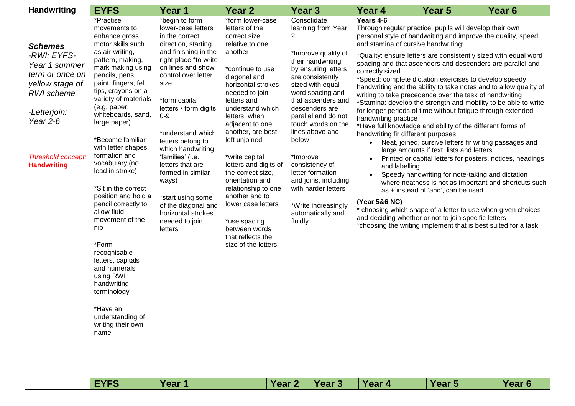| <b>Handwriting</b>                                                                                                                                                           | <b>EYFS</b>                                                                                                                                                                                                                                                                                                                                                                                                                                                                                                                                                                                                                                                    | Year 1                                                                                                                                                                                                                                                                                                                                                                                                                                                                     | Year <sub>2</sub>                                                                                                                                                                                                                                                                                                                                                                                                                                                                                        | Year 3                                                                                                                                                                                                                                                                                                                                                                                                                                         | Year 4                                                                                                                                                                           | Year <sub>5</sub>                                                                                                                                                                                                                                                                                                                                                                                                                                                                                                                                                                                                                                                                                                                                                                                                                                                                                                                                                                                                                                                                                                                                                   | Year <sub>6</sub> |
|------------------------------------------------------------------------------------------------------------------------------------------------------------------------------|----------------------------------------------------------------------------------------------------------------------------------------------------------------------------------------------------------------------------------------------------------------------------------------------------------------------------------------------------------------------------------------------------------------------------------------------------------------------------------------------------------------------------------------------------------------------------------------------------------------------------------------------------------------|----------------------------------------------------------------------------------------------------------------------------------------------------------------------------------------------------------------------------------------------------------------------------------------------------------------------------------------------------------------------------------------------------------------------------------------------------------------------------|----------------------------------------------------------------------------------------------------------------------------------------------------------------------------------------------------------------------------------------------------------------------------------------------------------------------------------------------------------------------------------------------------------------------------------------------------------------------------------------------------------|------------------------------------------------------------------------------------------------------------------------------------------------------------------------------------------------------------------------------------------------------------------------------------------------------------------------------------------------------------------------------------------------------------------------------------------------|----------------------------------------------------------------------------------------------------------------------------------------------------------------------------------|---------------------------------------------------------------------------------------------------------------------------------------------------------------------------------------------------------------------------------------------------------------------------------------------------------------------------------------------------------------------------------------------------------------------------------------------------------------------------------------------------------------------------------------------------------------------------------------------------------------------------------------------------------------------------------------------------------------------------------------------------------------------------------------------------------------------------------------------------------------------------------------------------------------------------------------------------------------------------------------------------------------------------------------------------------------------------------------------------------------------------------------------------------------------|-------------------|
| <b>Schemes</b><br>-RWI: EYFS-<br>Year 1 summer<br>term or once on<br>yellow stage of<br>RWI scheme<br>-Letterjoin:<br>Year $2-6$<br>Threshold concept:<br><b>Handwriting</b> | *Practise<br>movements to<br>enhance gross<br>motor skills such<br>as air-writing,<br>pattern, making,<br>mark making using<br>pencils, pens,<br>paint, fingers, felt<br>tips, crayons on a<br>variety of materials<br>(e.g. paper,<br>whiteboards, sand,<br>large paper)<br>*Become familiar<br>with letter shapes,<br>formation and<br>vocabulary (no<br>lead in stroke)<br>*Sit in the correct<br>position and hold a<br>pencil correctly to<br>allow fluid<br>movement of the<br>nib<br>*Form<br>recognisable<br>letters, capitals<br>and numerals<br>using RWI<br>handwriting<br>terminology<br>*Have an<br>understanding of<br>writing their own<br>name | *begin to form<br>lower-case letters<br>in the correct<br>direction, starting<br>and finishing in the<br>right place *to write<br>on lines and show<br>control over letter<br>size.<br>*form capital<br>letters • form digits<br>$0-9$<br>*understand which<br>letters belong to<br>which handwriting<br>'families' (i.e.<br>letters that are<br>formed in similar<br>ways)<br>*start using some<br>of the diagonal and<br>horizontal strokes<br>needed to join<br>letters | *form lower-case<br>letters of the<br>correct size<br>relative to one<br>another<br>*continue to use<br>diagonal and<br>horizontal strokes<br>needed to join<br>letters and<br>understand which<br>letters, when<br>adjacent to one<br>another, are best<br>left unjoined<br>*write capital<br>letters and digits of<br>the correct size,<br>orientation and<br>relationship to one<br>another and to<br>lower case letters<br>*use spacing<br>between words<br>that reflects the<br>size of the letters | Consolidate<br>learning from Year<br>2<br>*Improve quality of<br>their handwriting<br>by ensuring letters<br>are consistently<br>sized with equal<br>word spacing and<br>that ascenders and<br>descenders are<br>parallel and do not<br>touch words on the<br>lines above and<br>below<br>*Improve<br>consistency of<br>letter formation<br>and joins, including<br>with harder letters<br>*Write increasingly<br>automatically and<br>fluidly | Years 4-6<br>and stamina of cursive handwriting:<br>correctly sized<br>handwriting practice<br>handwriting fir different purposes<br>and labelling<br>$\bullet$<br>(Year 5&6 NC) | Through regular practice, pupils will develop their own<br>personal style of handwriting and improve the quality, speed<br>*Quality: ensure letters are consistently sized with equal word<br>spacing and that ascenders and descenders are parallel and<br>*Speed: complete dictation exercises to develop speedy<br>handwriting and the ability to take notes and to allow quality of<br>writing to take precedence over the task of handwriting<br>*Stamina: develop the strength and mobility to be able to write<br>for longer periods of time without fatigue through extended<br>*Have full knowledge and ability of the different forms of<br>Neat, joined, cursive letters fir writing passages and<br>large amounts if text, lists and letters<br>Printed or capital letters for posters, notices, headings<br>Speedy handwriting for note-taking and dictation<br>where neatness is not as important and shortcuts such<br>as + instead of 'and', can be used.<br>* choosing which shape of a letter to use when given choices<br>and deciding whether or not to join specific letters<br>*choosing the writing implement that is best suited for a task |                   |

| <b>FYFS</b><br>Year 5<br>Year 4<br><b>Year 2</b><br><b>Year 3</b><br>Year 1<br>Year 6 |  |
|---------------------------------------------------------------------------------------|--|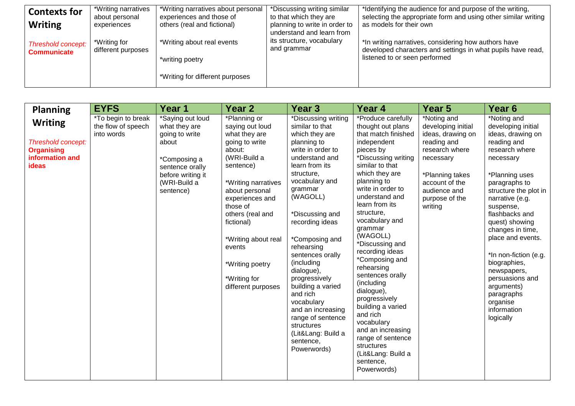| <b>Contexts for</b>                      | *Writing narratives                | *Writing narratives about personal                      | *Discussing writing similar                             | *Identifying the audience for and purpose of the writing,                                                                                            |
|------------------------------------------|------------------------------------|---------------------------------------------------------|---------------------------------------------------------|------------------------------------------------------------------------------------------------------------------------------------------------------|
| <b>Writing</b>                           | about personal<br>experiences      | experiences and those of<br>others (real and fictional) | to that which they are<br>planning to write in order to | selecting the appropriate form and using other similar writing<br>as models for their own                                                            |
|                                          |                                    |                                                         | understand and learn from                               |                                                                                                                                                      |
| Threshold concept:<br><b>Communicate</b> | *Writing for<br>different purposes | *Writing about real events<br>*writing poetry           | its structure, vocabulary<br>and grammar                | *In writing narratives, considering how authors have<br>developed characters and settings in what pupils have read,<br>listened to or seen performed |
|                                          |                                    |                                                         |                                                         |                                                                                                                                                      |
|                                          |                                    | *Writing for different purposes                         |                                                         |                                                                                                                                                      |

| <b>Planning</b>                                                                              | <b>EYFS</b>                                                   | Year 1                                                                                                                                            | Year 2                                                                                                                                                                                                                                                                                                        | Year <sub>3</sub>                                                                                                                                                                                                                                                                                                                                                                                                                                                                   | Year 4                                                                                                                                                                                                                                                                                                                                                                                                                                                                                                                                                                            | Year 5                                                                                                                                                                                 | Year <sub>6</sub>                                                                                                                                                                                                                                                                                                                                                                                                            |
|----------------------------------------------------------------------------------------------|---------------------------------------------------------------|---------------------------------------------------------------------------------------------------------------------------------------------------|---------------------------------------------------------------------------------------------------------------------------------------------------------------------------------------------------------------------------------------------------------------------------------------------------------------|-------------------------------------------------------------------------------------------------------------------------------------------------------------------------------------------------------------------------------------------------------------------------------------------------------------------------------------------------------------------------------------------------------------------------------------------------------------------------------------|-----------------------------------------------------------------------------------------------------------------------------------------------------------------------------------------------------------------------------------------------------------------------------------------------------------------------------------------------------------------------------------------------------------------------------------------------------------------------------------------------------------------------------------------------------------------------------------|----------------------------------------------------------------------------------------------------------------------------------------------------------------------------------------|------------------------------------------------------------------------------------------------------------------------------------------------------------------------------------------------------------------------------------------------------------------------------------------------------------------------------------------------------------------------------------------------------------------------------|
| <b>Writing</b><br>Threshold concept:<br><b>Organising</b><br>information and<br><b>ideas</b> | <i>*To begin to break</i><br>the flow of speech<br>into words | *Saying out loud<br>what they are<br>going to write<br>about<br>*Composing a<br>sentence orally<br>before writing it<br>(WRI-Build a<br>sentence) | *Planning or<br>saying out loud<br>what they are<br>going to write<br>about:<br>(WRI-Build a<br>sentence)<br>*Writing narratives<br>about personal<br>experiences and<br>those of<br>others (real and<br>fictional)<br>*Writing about real<br>events<br>*Writing poetry<br>*Writing for<br>different purposes | *Discussing writing<br>similar to that<br>which they are<br>planning to<br>write in order to<br>understand and<br>learn from its<br>structure,<br>vocabulary and<br>grammar<br>(WAGOLL)<br>*Discussing and<br>recording ideas<br>*Composing and<br>rehearsing<br>sentences orally<br>(including<br>dialogue),<br>progressively<br>building a varied<br>and rich<br>vocabulary<br>and an increasing<br>range of sentence<br>structures<br>(Lit⟪: Build a<br>sentence,<br>Powerwords) | *Produce carefully<br>thought out plans<br>that match finished<br>independent<br>pieces by<br>*Discussing writing<br>similar to that<br>which they are<br>planning to<br>write in order to<br>understand and<br>learn from its<br>structure,<br>vocabulary and<br>grammar<br>(WAGOLL)<br>*Discussing and<br>recording ideas<br>*Composing and<br>rehearsing<br>sentences orally<br>(including<br>dialogue),<br>progressively<br>building a varied<br>and rich<br>vocabulary<br>and an increasing<br>range of sentence<br>structures<br>(Lit⟪: Build a<br>sentence,<br>Powerwords) | *Noting and<br>developing initial<br>ideas, drawing on<br>reading and<br>research where<br>necessary<br>*Planning takes<br>account of the<br>audience and<br>purpose of the<br>writing | *Noting and<br>developing initial<br>ideas, drawing on<br>reading and<br>research where<br>necessary<br>*Planning uses<br>paragraphs to<br>structure the plot in<br>narrative (e.g.<br>suspense,<br>flashbacks and<br>quest) showing<br>changes in time,<br>place and events.<br>*In non-fiction (e.g.<br>biographies,<br>newspapers,<br>persuasions and<br>arguments)<br>paragraphs<br>organise<br>information<br>logically |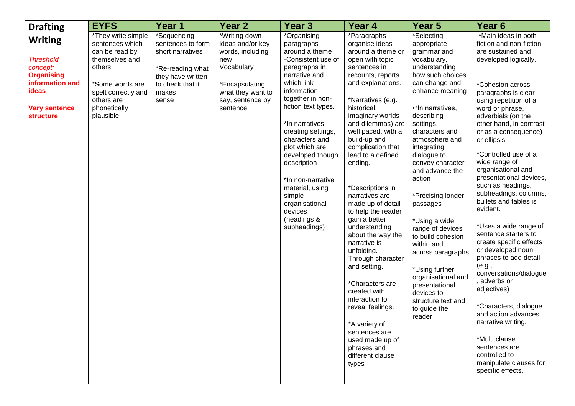| <b>Drafting</b>                                                                                                                             | <b>EYFS</b>                                                                                                                                                               | Year <sub>1</sub>                                                                                                                   | Year <sub>2</sub>                                                                                                                                 | Year <sub>3</sub>                                                                                                                                                                                                                                                                                                                                                                                         | Year 4                                                                                                                                                                                                                                                                                                                                                                                                                                                                                                                                                                                                                                                                                       | Year 5                                                                                                                                                                                                                                                                                                                                                                                                                                                                                                                                                     | Year <sub>6</sub>                                                                                                                                                                                                                                                                                                                                                                                                                                                                                                                                                                                                                                                                                                                                                                                                          |
|---------------------------------------------------------------------------------------------------------------------------------------------|---------------------------------------------------------------------------------------------------------------------------------------------------------------------------|-------------------------------------------------------------------------------------------------------------------------------------|---------------------------------------------------------------------------------------------------------------------------------------------------|-----------------------------------------------------------------------------------------------------------------------------------------------------------------------------------------------------------------------------------------------------------------------------------------------------------------------------------------------------------------------------------------------------------|----------------------------------------------------------------------------------------------------------------------------------------------------------------------------------------------------------------------------------------------------------------------------------------------------------------------------------------------------------------------------------------------------------------------------------------------------------------------------------------------------------------------------------------------------------------------------------------------------------------------------------------------------------------------------------------------|------------------------------------------------------------------------------------------------------------------------------------------------------------------------------------------------------------------------------------------------------------------------------------------------------------------------------------------------------------------------------------------------------------------------------------------------------------------------------------------------------------------------------------------------------------|----------------------------------------------------------------------------------------------------------------------------------------------------------------------------------------------------------------------------------------------------------------------------------------------------------------------------------------------------------------------------------------------------------------------------------------------------------------------------------------------------------------------------------------------------------------------------------------------------------------------------------------------------------------------------------------------------------------------------------------------------------------------------------------------------------------------------|
| <b>Writing</b><br><b>Threshold</b><br>concept:<br><b>Organising</b><br>information and<br>ideas<br><b>Vary sentence</b><br><b>structure</b> | *They write simple<br>sentences which<br>can be read by<br>themselves and<br>others.<br>*Some words are<br>spelt correctly and<br>others are<br>phonetically<br>plausible | *Sequencing<br>sentences to form<br>short narratives<br>*Re-reading what<br>they have written<br>to check that it<br>makes<br>sense | *Writing down<br>ideas and/or key<br>words, including<br>new<br>Vocabulary<br>*Encapsulating<br>what they want to<br>say, sentence by<br>sentence | *Organising<br>paragraphs<br>around a theme<br>-Consistent use of<br>paragraphs in<br>narrative and<br>which link<br>information<br>together in non-<br>fiction text types.<br>*In narratives,<br>creating settings,<br>characters and<br>plot which are<br>developed though<br>description<br>*In non-narrative<br>material, using<br>simple<br>organisational<br>devices<br>(headings &<br>subheadings) | *Paragraphs<br>organise ideas<br>around a theme or<br>open with topic<br>sentences in<br>recounts, reports<br>and explanations.<br>*Narratives (e.g.<br>historical,<br>imaginary worlds<br>and dilemmas) are<br>well paced, with a<br>build-up and<br>complication that<br>lead to a defined<br>ending.<br>*Descriptions in<br>narratives are<br>made up of detail<br>to help the reader<br>gain a better<br>understanding<br>about the way the<br>narrative is<br>unfolding.<br>Through character<br>and setting.<br>*Characters are<br>created with<br>interaction to<br>reveal feelings.<br>*A variety of<br>sentences are<br>used made up of<br>phrases and<br>different clause<br>types | *Selecting<br>appropriate<br>grammar and<br>vocabulary,<br>understanding<br>how such choices<br>can change and<br>enhance meaning<br>·* In narratives,<br>describing<br>settings,<br>characters and<br>atmosphere and<br>integrating<br>dialogue to<br>convey character<br>and advance the<br>action<br>*Précising longer<br>passages<br>*Using a wide<br>range of devices<br>to build cohesion<br>within and<br>across paragraphs<br>*Using further<br>organisational and<br>presentational<br>devices to<br>structure text and<br>to guide the<br>reader | *Main ideas in both<br>fiction and non-fiction<br>are sustained and<br>developed logically.<br>*Cohesion across<br>paragraphs is clear<br>using repetition of a<br>word or phrase,<br>adverbials (on the<br>other hand, in contrast<br>or as a consequence)<br>or ellipsis<br>*Controlled use of a<br>wide range of<br>organisational and<br>presentational devices,<br>such as headings,<br>subheadings, columns,<br>bullets and tables is<br>evident.<br>*Uses a wide range of<br>sentence starters to<br>create specific effects<br>or developed noun<br>phrases to add detail<br>(e.g.,<br>conversations/dialogue<br>adverbs or<br>adjectives)<br>*Characters, dialogue<br>and action advances<br>narrative writing.<br>*Multi clause<br>sentences are<br>controlled to<br>manipulate clauses for<br>specific effects. |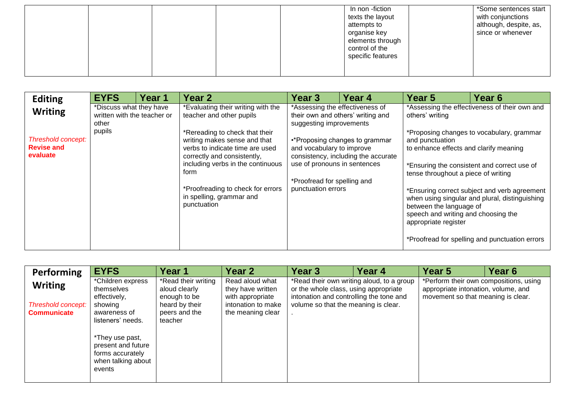|  |  | In non -fiction<br>texts the layout<br>attempts to<br>organise key<br>elements through<br>control of the<br>specific features | *Some sentences start<br>with conjunctions<br>although, despite, as,<br>since or whenever |
|--|--|-------------------------------------------------------------------------------------------------------------------------------|-------------------------------------------------------------------------------------------|
|--|--|-------------------------------------------------------------------------------------------------------------------------------|-------------------------------------------------------------------------------------------|

| <b>Editing</b>                                      | <b>EYFS</b>                                                     | <b>Year 1</b> | Year 2                                                                                                                                                                                                                                                        | Year 3                                                                                                         | Year 4                                                                | Year <sub>5</sub>                                                                                                                                                                          | Year 6                                                                                                                                                                                                                                       |  |
|-----------------------------------------------------|-----------------------------------------------------------------|---------------|---------------------------------------------------------------------------------------------------------------------------------------------------------------------------------------------------------------------------------------------------------------|----------------------------------------------------------------------------------------------------------------|-----------------------------------------------------------------------|--------------------------------------------------------------------------------------------------------------------------------------------------------------------------------------------|----------------------------------------------------------------------------------------------------------------------------------------------------------------------------------------------------------------------------------------------|--|
| <b>Writing</b>                                      | *Discuss what they have<br>written with the teacher or<br>other |               | *Evaluating their writing with the<br>teacher and other pupils                                                                                                                                                                                                | *Assessing the effectiveness of<br>suggesting improvements                                                     | their own and others' writing and                                     | *Assessing the effectiveness of their own and<br>others' writing                                                                                                                           |                                                                                                                                                                                                                                              |  |
| Threshold concept:<br><b>Revise and</b><br>evaluate | pupils                                                          |               | *Rereading to check that their<br>writing makes sense and that<br>verbs to indicate time are used<br>correctly and consistently,<br>including verbs in the continuous<br>form<br>*Proofreading to check for errors<br>in spelling, grammar and<br>punctuation | and vocabulary to improve<br>use of pronouns in sentences<br>*Proofread for spelling and<br>punctuation errors | •*Proposing changes to grammar<br>consistency, including the accurate | and punctuation<br>to enhance effects and clarify meaning<br>tense throughout a piece of writing<br>between the language of<br>speech and writing and choosing the<br>appropriate register | *Proposing changes to vocabulary, grammar<br>*Ensuring the consistent and correct use of<br>*Ensuring correct subject and verb agreement<br>when using singular and plural, distinguishing<br>*Proofread for spelling and punctuation errors |  |

| Performing                                                 | <b>EYFS</b>                                                                                     | Year 1                                                                                             | Year 2                                                                                              | Year <sub>3</sub>                                                                                                        | Year <sub>4</sub>                         | Year 5                                                                                                              | Year <sub>6</sub> |
|------------------------------------------------------------|-------------------------------------------------------------------------------------------------|----------------------------------------------------------------------------------------------------|-----------------------------------------------------------------------------------------------------|--------------------------------------------------------------------------------------------------------------------------|-------------------------------------------|---------------------------------------------------------------------------------------------------------------------|-------------------|
| <b>Writing</b><br>Threshold concept:<br><b>Communicate</b> | *Children express<br>themselves<br>effectively,<br>showing<br>awareness of<br>listeners' needs. | *Read their writing<br>aloud clearly<br>enough to be<br>heard by their<br>peers and the<br>teacher | Read aloud what<br>they have written<br>with appropriate<br>intonation to make<br>the meaning clear | or the whole class, using appropriate<br>intonation and controlling the tone and<br>volume so that the meaning is clear. | *Read their own writing aloud, to a group | *Perform their own compositions, using<br>appropriate intonation, volume, and<br>movement so that meaning is clear. |                   |
|                                                            | *They use past,<br>present and future<br>forms accurately<br>when talking about<br>events       |                                                                                                    |                                                                                                     |                                                                                                                          |                                           |                                                                                                                     |                   |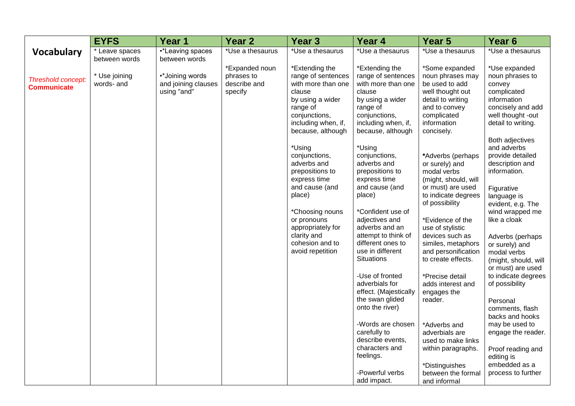|                                          | <b>EYFS</b>                     | Year 1                                                | Year <sub>2</sub>                                       | Year <sub>3</sub>                                                                                                                                                                                                  | Year 4                                                                                                                                                                                                                                       | Year <sub>5</sub>                                                                                                                                                                                                                                                       | Year <sub>6</sub>                                                                                                                                                                                                                                                            |
|------------------------------------------|---------------------------------|-------------------------------------------------------|---------------------------------------------------------|--------------------------------------------------------------------------------------------------------------------------------------------------------------------------------------------------------------------|----------------------------------------------------------------------------------------------------------------------------------------------------------------------------------------------------------------------------------------------|-------------------------------------------------------------------------------------------------------------------------------------------------------------------------------------------------------------------------------------------------------------------------|------------------------------------------------------------------------------------------------------------------------------------------------------------------------------------------------------------------------------------------------------------------------------|
| <b>Vocabulary</b>                        | * Leave spaces<br>between words | •*Leaving spaces<br>between words                     | *Use a thesaurus                                        | *Use a thesaurus                                                                                                                                                                                                   | *Use a thesaurus                                                                                                                                                                                                                             | *Use a thesaurus                                                                                                                                                                                                                                                        | *Use a thesaurus                                                                                                                                                                                                                                                             |
| Threshold concept:<br><b>Communicate</b> | * Use joining<br>words- and     | •*Joining words<br>and joining clauses<br>using "and" | *Expanded noun<br>phrases to<br>describe and<br>specify | *Extending the<br>range of sentences<br>with more than one<br>clause<br>by using a wider<br>range of<br>conjunctions,<br>including when, if,<br>because, although                                                  | *Extending the<br>range of sentences<br>with more than one<br>clause<br>by using a wider<br>range of<br>conjunctions,<br>including when, if,<br>because, although                                                                            | *Some expanded<br>noun phrases may<br>be used to add<br>well thought out<br>detail to writing<br>and to convey<br>complicated<br>information<br>concisely.                                                                                                              | *Use expanded<br>noun phrases to<br>convey<br>complicated<br>information<br>concisely and add<br>well thought -out<br>detail to writing.                                                                                                                                     |
|                                          |                                 |                                                       |                                                         | *Using<br>conjunctions,<br>adverbs and<br>prepositions to<br>express time<br>and cause (and<br>place)<br>*Choosing nouns<br>or pronouns<br>appropriately for<br>clarity and<br>cohesion and to<br>avoid repetition | *Using<br>conjunctions,<br>adverbs and<br>prepositions to<br>express time<br>and cause (and<br>place)<br>*Confident use of<br>adjectives and<br>adverbs and an<br>attempt to think of<br>different ones to<br>use in different<br>Situations | *Adverbs (perhaps)<br>or surely) and<br>modal verbs<br>(might, should, will<br>or must) are used<br>to indicate degrees<br>of possibility<br>*Evidence of the<br>use of stylistic<br>devices such as<br>similes, metaphors<br>and personification<br>to create effects. | Both adjectives<br>and adverbs<br>provide detailed<br>description and<br>information.<br>Figurative<br>language is<br>evident, e.g. The<br>wind wrapped me<br>like a cloak<br>Adverbs (perhaps<br>or surely) and<br>modal verbs<br>(might, should, will<br>or must) are used |
|                                          |                                 |                                                       |                                                         |                                                                                                                                                                                                                    | -Use of fronted<br>adverbials for<br>effect. (Majestically<br>the swan glided<br>onto the river)                                                                                                                                             | *Precise detail<br>adds interest and<br>engages the<br>reader.                                                                                                                                                                                                          | to indicate degrees<br>of possibility<br>Personal<br>comments, flash<br>backs and hooks                                                                                                                                                                                      |
|                                          |                                 |                                                       |                                                         |                                                                                                                                                                                                                    | -Words are chosen<br>carefully to<br>describe events,<br>characters and<br>feelings.                                                                                                                                                         | *Adverbs and<br>adverbials are<br>used to make links<br>within paragraphs.                                                                                                                                                                                              | may be used to<br>engage the reader.<br>Proof reading and<br>editing is                                                                                                                                                                                                      |
|                                          |                                 |                                                       |                                                         |                                                                                                                                                                                                                    | -Powerful verbs<br>add impact.                                                                                                                                                                                                               | *Distinguishes<br>between the formal<br>and informal                                                                                                                                                                                                                    | embedded as a<br>process to further                                                                                                                                                                                                                                          |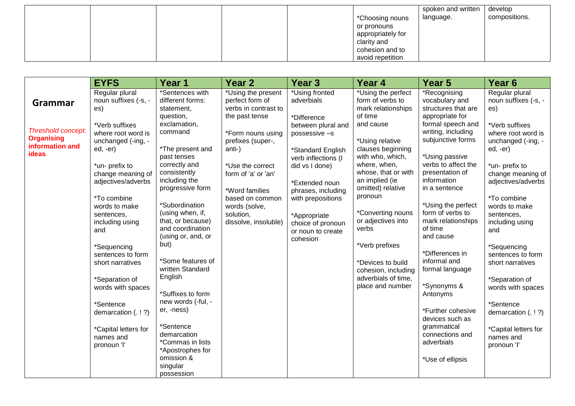|  |  |                   | spoken and written | develop       |
|--|--|-------------------|--------------------|---------------|
|  |  | *Choosing nouns   | language.          | compositions. |
|  |  | or pronouns       |                    |               |
|  |  | appropriately for |                    |               |
|  |  | clarity and       |                    |               |
|  |  | cohesion and to   |                    |               |
|  |  | avoid repetition  |                    |               |

|                                                                                       | <b>EYFS</b>                                                                                                                                                                                                            | Year 1                                                                                                                                                                                                               | Year <sub>2</sub>                                                                                                                                                                                                                    | <b>Year 3</b>                                                                                                                                                                                                 | Year 4                                                                                                                                                                                                                                    | Year 5                                                                                                                                                                                                                                                     | Year <sub>6</sub>                                                                                                                                                                                                      |
|---------------------------------------------------------------------------------------|------------------------------------------------------------------------------------------------------------------------------------------------------------------------------------------------------------------------|----------------------------------------------------------------------------------------------------------------------------------------------------------------------------------------------------------------------|--------------------------------------------------------------------------------------------------------------------------------------------------------------------------------------------------------------------------------------|---------------------------------------------------------------------------------------------------------------------------------------------------------------------------------------------------------------|-------------------------------------------------------------------------------------------------------------------------------------------------------------------------------------------------------------------------------------------|------------------------------------------------------------------------------------------------------------------------------------------------------------------------------------------------------------------------------------------------------------|------------------------------------------------------------------------------------------------------------------------------------------------------------------------------------------------------------------------|
| Grammar<br><b>Threshold concept:</b><br><b>Organising</b><br>information and<br>ideas | Regular plural<br>noun suffixes (-s, -<br>es)<br>*Verb suffixes<br>where root word is<br>unchanged (-ing, -<br>$ed, -er)$<br>*un- prefix to<br>change meaning of<br>adjectives/adverbs<br>*To combine<br>words to make | *Sentences with<br>different forms:<br>statement,<br>question,<br>exclamation,<br>command<br>*The present and<br>past tenses<br>correctly and<br>consistently<br>including the<br>progressive form<br>*Subordination | *Using the present<br>perfect form of<br>verbs in contrast to<br>the past tense<br>*Form nouns using<br>prefixes (super-,<br>anti-)<br>*Use the correct<br>form of 'a' or 'an'<br>*Word families<br>based on common<br>words (solve, | *Using fronted<br>adverbials<br>*Difference<br>between plural and<br>possessive -s<br>*Standard English<br>verb inflections (I<br>did vs I done)<br>*Extended noun<br>phrases, including<br>with prepositions | *Using the perfect<br>form of verbs to<br>mark relationships<br>of time<br>and cause<br>*Using relative<br>clauses beginning<br>with who, which,<br>where, when,<br>whose, that or with<br>an implied (ie<br>omitted) relative<br>pronoun | *Recognising<br>vocabulary and<br>structures that are<br>appropriate for<br>formal speech and<br>writing, including<br>subjunctive forms<br>*Using passive<br>verbs to affect the<br>presentation of<br>information<br>in a sentence<br>*Using the perfect | Regular plural<br>noun suffixes (-s, -<br>es)<br>*Verb suffixes<br>where root word is<br>unchanged (-ing, -<br>$ed, -er)$<br>*un- prefix to<br>change meaning of<br>adjectives/adverbs<br>*To combine<br>words to make |
|                                                                                       | sentences,<br>including using<br>and<br>*Sequencing<br>sentences to form                                                                                                                                               | (using when, if,<br>that, or because)<br>and coordination<br>(using or, and, or<br>but)                                                                                                                              | solution,<br>dissolve, insoluble)                                                                                                                                                                                                    | *Appropriate<br>choice of pronoun<br>or noun to create<br>cohesion                                                                                                                                            | *Converting nouns<br>or adjectives into<br>verbs<br>*Verb prefixes                                                                                                                                                                        | form of verbs to<br>mark relationships<br>of time<br>and cause<br>*Differences in                                                                                                                                                                          | sentences,<br>including using<br>and<br>*Sequencing<br>sentences to form                                                                                                                                               |
|                                                                                       | short narratives<br>*Separation of<br>words with spaces<br>*Sentence<br>demarcation (.!?)                                                                                                                              | *Some features of<br>written Standard<br>English<br>*Suffixes to form<br>new words (-ful, -<br>er, -ness)                                                                                                            |                                                                                                                                                                                                                                      |                                                                                                                                                                                                               | *Devices to build<br>cohesion, including<br>adverbials of time.<br>place and number                                                                                                                                                       | informal and<br>formal language<br>*Synonyms &<br>Antonyms<br>*Further cohesive<br>devices such as                                                                                                                                                         | short narratives<br>*Separation of<br>words with spaces<br>*Sentence<br>demarcation (.!?)                                                                                                                              |
|                                                                                       | *Capital letters for<br>names and<br>pronoun 'l'                                                                                                                                                                       | *Sentence<br>demarcation<br>*Commas in lists<br>*Apostrophes for<br>omission &<br>singular<br>possession                                                                                                             |                                                                                                                                                                                                                                      |                                                                                                                                                                                                               |                                                                                                                                                                                                                                           | grammatical<br>connections and<br>adverbials<br>*Use of ellipsis                                                                                                                                                                                           | *Capital letters for<br>names and<br>pronoun 'l'                                                                                                                                                                       |